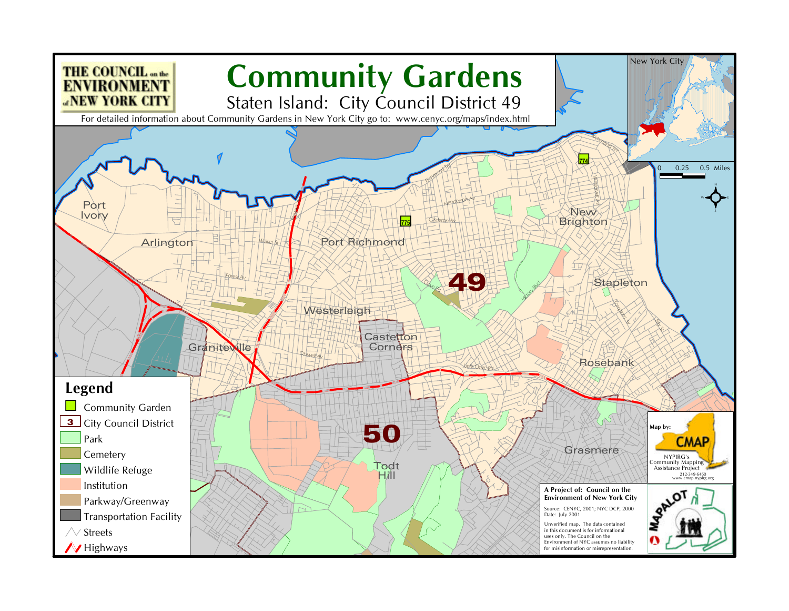